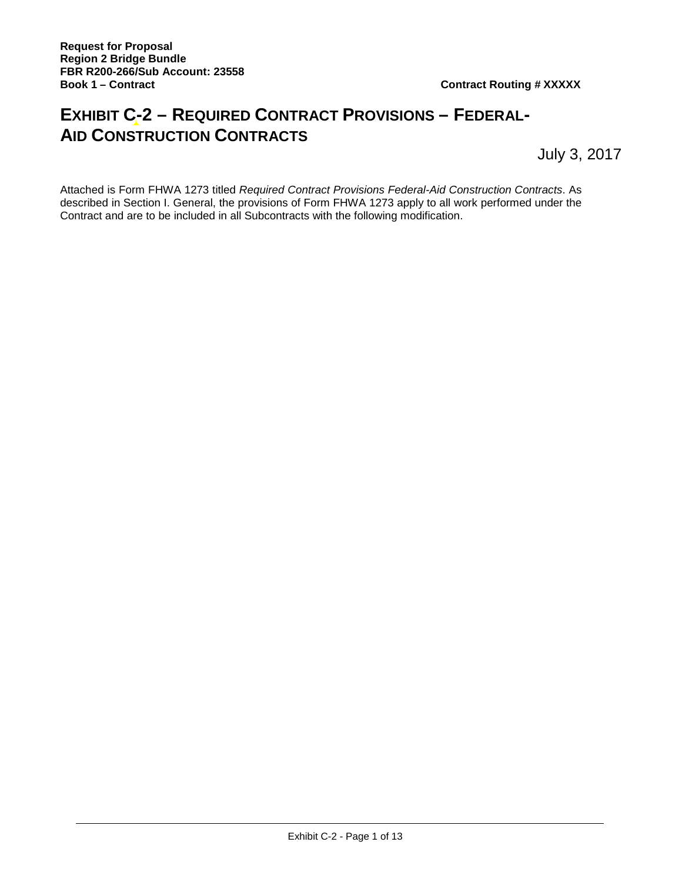**Book 1 – Contract Contract Routing # XXXXX**

# **EXHIBIT C-2 – REQUIRED CONTRACT PROVISIONS – FEDERAL-AID CONSTRUCTION CONTRACTS**

July 3, 2017

Attached is Form FHWA 1273 titled *Required Contract Provisions Federal-Aid Construction Contracts*. As described in Section I. General, the provisions of Form FHWA 1273 apply to all work performed under the Contract and are to be included in all Subcontracts with the following modification.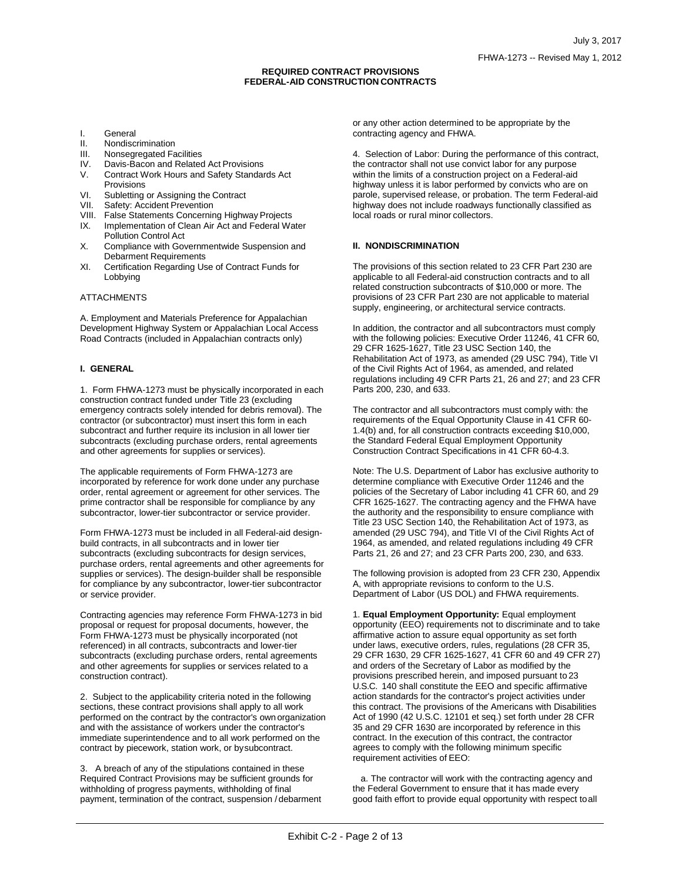- I. General
- II. Nondiscrimination<br>III. Nonsegregated Fa
- III. Nonsegregated Facilities<br>IV. Davis-Bacon and Related
- IV. Davis-Bacon and Related Act Provisions
- Contract Work Hours and Safety Standards Act Provisions
- VI. Subletting or Assigning the Contract<br>VII. Safety: Accident Prevention
- Safety: Accident Prevention
- VIII. False Statements Concerning Highway Projects<br>IX. Implementation of Clean Air Act and Federal Wa
- Implementation of Clean Air Act and Federal Water Pollution Control Act
- X. Compliance with Governmentwide Suspension and Debarment Requirements
- XI. Certification Regarding Use of Contract Funds for Lobbying

# ATTACHMENTS

A. Employment and Materials Preference for Appalachian Development Highway System or Appalachian Local Access Road Contracts (included in Appalachian contracts only)

# **I. GENERAL**

1. Form FHWA-1273 must be physically incorporated in each construction contract funded under Title 23 (excluding emergency contracts solely intended for debris removal). The contractor (or subcontractor) must insert this form in each subcontract and further require its inclusion in all lower tier subcontracts (excluding purchase orders, rental agreements and other agreements for supplies or services).

The applicable requirements of Form FHWA-1273 are incorporated by reference for work done under any purchase order, rental agreement or agreement for other services. The prime contractor shall be responsible for compliance by any subcontractor, lower-tier subcontractor or service provider.

Form FHWA-1273 must be included in all Federal-aid designbuild contracts, in all subcontracts and in lower tier subcontracts (excluding subcontracts for design services, purchase orders, rental agreements and other agreements for supplies or services). The design-builder shall be responsible for compliance by any subcontractor, lower-tier subcontractor or service provider.

Contracting agencies may reference Form FHWA-1273 in bid proposal or request for proposal documents, however, the Form FHWA-1273 must be physically incorporated (not referenced) in all contracts, subcontracts and lower-tier subcontracts (excluding purchase orders, rental agreements and other agreements for supplies or services related to a construction contract).

2. Subject to the applicability criteria noted in the following sections, these contract provisions shall apply to all work performed on the contract by the contractor's own organization and with the assistance of workers under the contractor's immediate superintendence and to all work performed on the contract by piecework, station work, or bysubcontract.

3. A breach of any of the stipulations contained in these Required Contract Provisions may be sufficient grounds for withholding of progress payments, withholding of final payment, termination of the contract, suspension / debarment or any other action determined to be appropriate by the contracting agency and FHWA.

4. Selection of Labor: During the performance of this contract, the contractor shall not use convict labor for any purpose within the limits of a construction project on a Federal-aid highway unless it is labor performed by convicts who are on parole, supervised release, or probation. The term Federal-aid highway does not include roadways functionally classified as local roads or rural minor collectors.

# **II. NONDISCRIMINATION**

The provisions of this section related to 23 CFR Part 230 are applicable to all Federal-aid construction contracts and to all related construction subcontracts of \$10,000 or more. The provisions of 23 CFR Part 230 are not applicable to material supply, engineering, or architectural service contracts.

In addition, the contractor and all subcontractors must comply with the following policies: Executive Order 11246, 41 CFR 60, 29 CFR 1625-1627, Title 23 USC Section 140, the Rehabilitation Act of 1973, as amended (29 USC 794), Title VI of the Civil Rights Act of 1964, as amended, and related regulations including 49 CFR Parts 21, 26 and 27; and 23 CFR Parts 200, 230, and 633.

The contractor and all subcontractors must comply with: the requirements of the Equal Opportunity Clause in 41 CFR 60- 1.4(b) and, for all construction contracts exceeding \$10,000, the Standard Federal Equal Employment Opportunity Construction Contract Specifications in 41 CFR 60-4.3.

Note: The U.S. Department of Labor has exclusive authority to determine compliance with Executive Order 11246 and the policies of the Secretary of Labor including 41 CFR 60, and 29 CFR 1625-1627. The contracting agency and the FHWA have the authority and the responsibility to ensure compliance with Title 23 USC Section 140, the Rehabilitation Act of 1973, as amended (29 USC 794), and Title VI of the Civil Rights Act of 1964, as amended, and related regulations including 49 CFR Parts 21, 26 and 27; and 23 CFR Parts 200, 230, and 633.

The following provision is adopted from 23 CFR 230, Appendix A, with appropriate revisions to conform to the U.S. Department of Labor (US DOL) and FHWA requirements.

1. **Equal Employment Opportunity:** Equal employment opportunity (EEO) requirements not to discriminate and to take affirmative action to assure equal opportunity as set forth under laws, executive orders, rules, regulations (28 CFR 35, 29 CFR 1630, 29 CFR 1625-1627, 41 CFR 60 and 49 CFR 27) and orders of the Secretary of Labor as modified by the provisions prescribed herein, and imposed pursuant to 23 U.S.C. 140 shall constitute the EEO and specific affirmative action standards for the contractor's project activities under this contract. The provisions of the Americans with Disabilities Act of 1990 (42 U.S.C. 12101 et seq.) set forth under 28 CFR 35 and 29 CFR 1630 are incorporated by reference in this contract. In the execution of this contract, the contractor agrees to comply with the following minimum specific requirement activities of EEO:

a. The contractor will work with the contracting agency and the Federal Government to ensure that it has made every good faith effort to provide equal opportunity with respect toall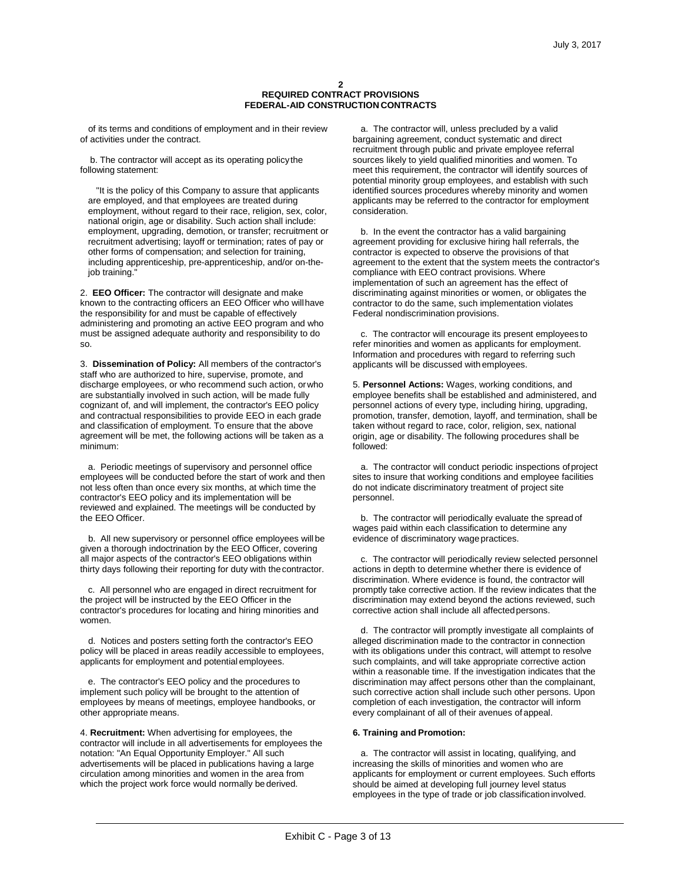of its terms and conditions of employment and in their review of activities under the contract.

b. The contractor will accept as its operating policythe following statement:

"It is the policy of this Company to assure that applicants are employed, and that employees are treated during employment, without regard to their race, religion, sex, color, national origin, age or disability. Such action shall include: employment, upgrading, demotion, or transfer; recruitment or recruitment advertising; layoff or termination; rates of pay or other forms of compensation; and selection for training, including apprenticeship, pre-apprenticeship, and/or on-thejob training."

2. **EEO Officer:** The contractor will designate and make known to the contracting officers an EEO Officer who willhave the responsibility for and must be capable of effectively administering and promoting an active EEO program and who must be assigned adequate authority and responsibility to do so.

3. **Dissemination of Policy:** All members of the contractor's staff who are authorized to hire, supervise, promote, and discharge employees, or who recommend such action, orwho are substantially involved in such action, will be made fully cognizant of, and will implement, the contractor's EEO policy and contractual responsibilities to provide EEO in each grade and classification of employment. To ensure that the above agreement will be met, the following actions will be taken as a minimum:

a. Periodic meetings of supervisory and personnel office employees will be conducted before the start of work and then not less often than once every six months, at which time the contractor's EEO policy and its implementation will be reviewed and explained. The meetings will be conducted by the EEO Officer.

b. All new supervisory or personnel office employees will be given a thorough indoctrination by the EEO Officer, covering all major aspects of the contractor's EEO obligations within thirty days following their reporting for duty with thecontractor.

c. All personnel who are engaged in direct recruitment for the project will be instructed by the EEO Officer in the contractor's procedures for locating and hiring minorities and women.

d. Notices and posters setting forth the contractor's EEO policy will be placed in areas readily accessible to employees, applicants for employment and potential employees.

e. The contractor's EEO policy and the procedures to implement such policy will be brought to the attention of employees by means of meetings, employee handbooks, or other appropriate means.

4. **Recruitment:** When advertising for employees, the contractor will include in all advertisements for employees the notation: "An Equal Opportunity Employer." All such advertisements will be placed in publications having a large circulation among minorities and women in the area from which the project work force would normally be derived.

a. The contractor will, unless precluded by a valid bargaining agreement, conduct systematic and direct recruitment through public and private employee referral sources likely to yield qualified minorities and women. To meet this requirement, the contractor will identify sources of potential minority group employees, and establish with such identified sources procedures whereby minority and women applicants may be referred to the contractor for employment consideration.

b. In the event the contractor has a valid bargaining agreement providing for exclusive hiring hall referrals, the contractor is expected to observe the provisions of that agreement to the extent that the system meets the contractor's compliance with EEO contract provisions. Where implementation of such an agreement has the effect of discriminating against minorities or women, or obligates the contractor to do the same, such implementation violates Federal nondiscrimination provisions.

c. The contractor will encourage its present employees to refer minorities and women as applicants for employment. Information and procedures with regard to referring such applicants will be discussed with employees.

5. **Personnel Actions:** Wages, working conditions, and employee benefits shall be established and administered, and personnel actions of every type, including hiring, upgrading, promotion, transfer, demotion, layoff, and termination, shall be taken without regard to race, color, religion, sex, national origin, age or disability. The following procedures shall be followed:

a. The contractor will conduct periodic inspections ofproject sites to insure that working conditions and employee facilities do not indicate discriminatory treatment of project site personnel.

b. The contractor will periodically evaluate the spread of wages paid within each classification to determine any evidence of discriminatory wage practices.

c. The contractor will periodically review selected personnel actions in depth to determine whether there is evidence of discrimination. Where evidence is found, the contractor will promptly take corrective action. If the review indicates that the discrimination may extend beyond the actions reviewed, such corrective action shall include all affectedpersons.

d. The contractor will promptly investigate all complaints of alleged discrimination made to the contractor in connection with its obligations under this contract, will attempt to resolve such complaints, and will take appropriate corrective action within a reasonable time. If the investigation indicates that the discrimination may affect persons other than the complainant, such corrective action shall include such other persons. Upon completion of each investigation, the contractor will inform every complainant of all of their avenues of appeal.

# **6. Training and Promotion:**

a. The contractor will assist in locating, qualifying, and increasing the skills of minorities and women who are applicants for employment or current employees. Such efforts should be aimed at developing full journey level status employees in the type of trade or job classificationinvolved.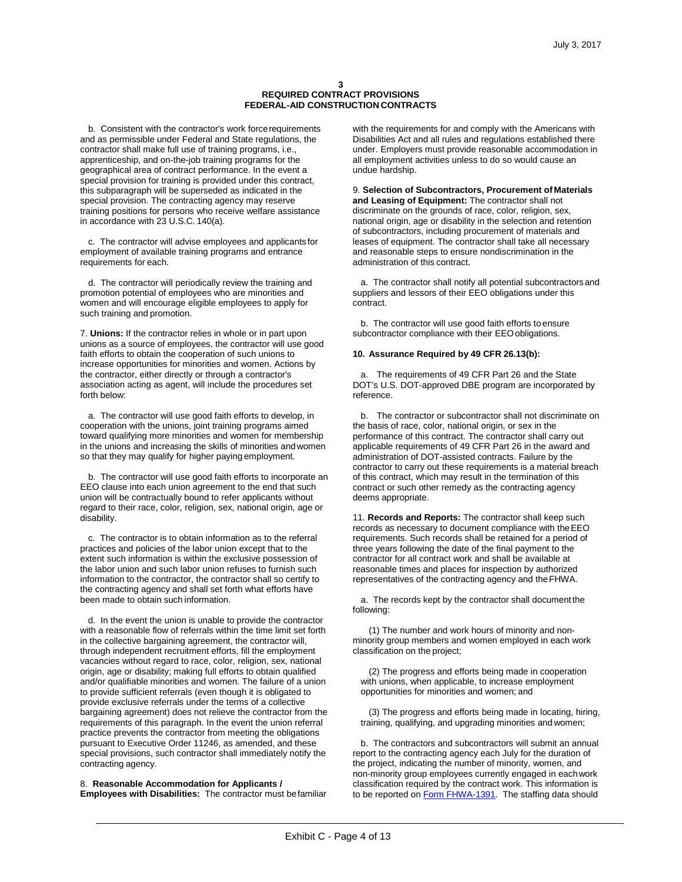b. Consistent with the contractor's work forcerequirements and as permissible under Federal and State regulations, the contractor shall make full use of training programs, i.e., apprenticeship, and on-the-job training programs for the geographical area of contract performance. In the event a special provision for training is provided under this contract, this subparagraph will be superseded as indicated in the special provision. The contracting agency may reserve training positions for persons who receive welfare assistance in accordance with 23 U.S.C. 140(a).

c. The contractor will advise employees and applicants for employment of available training programs and entrance requirements for each.

d. The contractor will periodically review the training and promotion potential of employees who are minorities and women and will encourage eligible employees to apply for such training and promotion.

7. **Unions:** If the contractor relies in whole or in part upon unions as a source of employees, the contractor will use good faith efforts to obtain the cooperation of such unions to increase opportunities for minorities and women. Actions by the contractor, either directly or through a contractor's association acting as agent, will include the procedures set forth below:

a. The contractor will use good faith efforts to develop, in cooperation with the unions, joint training programs aimed toward qualifying more minorities and women for membership in the unions and increasing the skills of minorities and women so that they may qualify for higher paying employment.

b. The contractor will use good faith efforts to incorporate an EEO clause into each union agreement to the end that such union will be contractually bound to refer applicants without regard to their race, color, religion, sex, national origin, age or disability.

c. The contractor is to obtain information as to the referral practices and policies of the labor union except that to the extent such information is within the exclusive possession of the labor union and such labor union refuses to furnish such information to the contractor, the contractor shall so certify to the contracting agency and shall set forth what efforts have been made to obtain such information.

d. In the event the union is unable to provide the contractor with a reasonable flow of referrals within the time limit set forth in the collective bargaining agreement, the contractor will, through independent recruitment efforts, fill the employment vacancies without regard to race, color, religion, sex, national origin, age or disability; making full efforts to obtain qualified and/or qualifiable minorities and women. The failure of a union to provide sufficient referrals (even though it is obligated to provide exclusive referrals under the terms of a collective bargaining agreement) does not relieve the contractor from the requirements of this paragraph. In the event the union referral practice prevents the contractor from meeting the obligations pursuant to Executive Order 11246, as amended, and these special provisions, such contractor shall immediately notify the contracting agency.

8. **Reasonable Accommodation for Applicants / Employees with Disabilities:** The contractor must befamiliar

with the requirements for and comply with the Americans with Disabilities Act and all rules and regulations established there under. Employers must provide reasonable accommodation in all employment activities unless to do so would cause an undue hardship.

9. **Selection of Subcontractors, Procurement of Materials and Leasing of Equipment:** The contractor shall not discriminate on the grounds of race, color, religion, sex, national origin, age or disability in the selection and retention of subcontractors, including procurement of materials and leases of equipment. The contractor shall take all necessary and reasonable steps to ensure nondiscrimination in the administration of this contract.

a. The contractor shall notify all potential subcontractorsand suppliers and lessors of their EEO obligations under this contract.

b. The contractor will use good faith efforts to ensure subcontractor compliance with their EEOobligations.

# **10. Assurance Required by 49 CFR 26.13(b):**

a. The requirements of 49 CFR Part 26 and the State DOT's U.S. DOT-approved DBE program are incorporated by reference.

b. The contractor or subcontractor shall not discriminate on the basis of race, color, national origin, or sex in the performance of this contract. The contractor shall carry out applicable requirements of 49 CFR Part 26 in the award and administration of DOT-assisted contracts. Failure by the contractor to carry out these requirements is a material breach of this contract, which may result in the termination of this contract or such other remedy as the contracting agency deems appropriate.

11. **Records and Reports:** The contractor shall keep such records as necessary to document compliance with theEEO requirements. Such records shall be retained for a period of three years following the date of the final payment to the contractor for all contract work and shall be available at reasonable times and places for inspection by authorized representatives of the contracting agency and theFHWA.

a. The records kept by the contractor shall documentthe following:

(1) The number and work hours of minority and nonminority group members and women employed in each work classification on the project;

(2) The progress and efforts being made in cooperation with unions, when applicable, to increase employment opportunities for minorities and women; and

(3) The progress and efforts being made in locating, hiring, training, qualifying, and upgrading minorities and women;

b. The contractors and subcontractors will submit an annual report to the contracting agency each July for the duration of the project, indicating the number of minority, women, and non-minority group employees currently engaged in eachwork classification required by the contract work. This information is to be reported on [Form FHWA-1391.](http://www.fhwa.dot.gov/eforms/) The staffing data should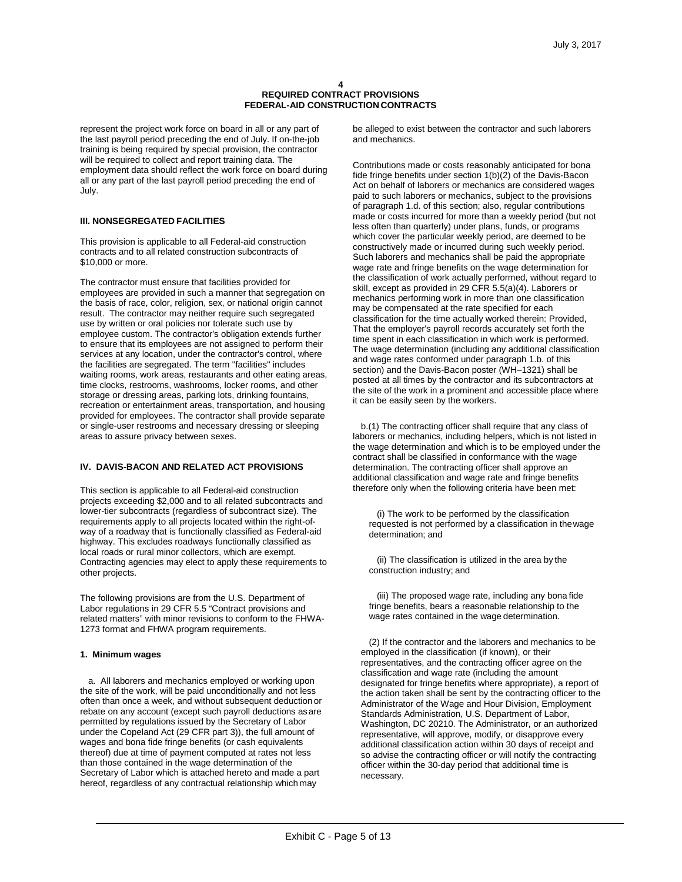represent the project work force on board in all or any part of the last payroll period preceding the end of July. If on-the-job training is being required by special provision, the contractor will be required to collect and report training data. The employment data should reflect the work force on board during all or any part of the last payroll period preceding the end of July.

# **III. NONSEGREGATED FACILITIES**

This provision is applicable to all Federal-aid construction contracts and to all related construction subcontracts of \$10,000 or more.

The contractor must ensure that facilities provided for employees are provided in such a manner that segregation on the basis of race, color, religion, sex, or national origin cannot result. The contractor may neither require such segregated use by written or oral policies nor tolerate such use by employee custom. The contractor's obligation extends further to ensure that its employees are not assigned to perform their services at any location, under the contractor's control, where the facilities are segregated. The term "facilities" includes waiting rooms, work areas, restaurants and other eating areas, time clocks, restrooms, washrooms, locker rooms, and other storage or dressing areas, parking lots, drinking fountains, recreation or entertainment areas, transportation, and housing provided for employees. The contractor shall provide separate or single-user restrooms and necessary dressing or sleeping areas to assure privacy between sexes.

# **IV. DAVIS-BACON AND RELATED ACT PROVISIONS**

This section is applicable to all Federal-aid construction projects exceeding \$2,000 and to all related subcontracts and lower-tier subcontracts (regardless of subcontract size). The requirements apply to all projects located within the right-ofway of a roadway that is functionally classified as Federal-aid highway. This excludes roadways functionally classified as local roads or rural minor collectors, which are exempt. Contracting agencies may elect to apply these requirements to other projects.

The following provisions are from the U.S. Department of Labor regulations in 29 CFR 5.5 "Contract provisions and related matters" with minor revisions to conform to the FHWA-1273 format and FHWA program requirements.

# **1. Minimum wages**

a. All laborers and mechanics employed or working upon the site of the work, will be paid unconditionally and not less often than once a week, and without subsequent deduction or rebate on any account (except such payroll deductions asare permitted by regulations issued by the Secretary of Labor under the Copeland Act (29 CFR part 3)), the full amount of wages and bona fide fringe benefits (or cash equivalents thereof) due at time of payment computed at rates not less than those contained in the wage determination of the Secretary of Labor which is attached hereto and made a part hereof, regardless of any contractual relationship which may

be alleged to exist between the contractor and such laborers and mechanics.

Contributions made or costs reasonably anticipated for bona fide fringe benefits under section 1(b)(2) of the Davis-Bacon Act on behalf of laborers or mechanics are considered wages paid to such laborers or mechanics, subject to the provisions of paragraph 1.d. of this section; also, regular contributions made or costs incurred for more than a weekly period (but not less often than quarterly) under plans, funds, or programs which cover the particular weekly period, are deemed to be constructively made or incurred during such weekly period. Such laborers and mechanics shall be paid the appropriate wage rate and fringe benefits on the wage determination for the classification of work actually performed, without regard to skill, except as provided in 29 CFR 5.5(a)(4). Laborers or mechanics performing work in more than one classification may be compensated at the rate specified for each classification for the time actually worked therein: Provided, That the employer's payroll records accurately set forth the time spent in each classification in which work is performed. The wage determination (including any additional classification and wage rates conformed under paragraph 1.b. of this section) and the Davis-Bacon poster (WH–1321) shall be posted at all times by the contractor and its subcontractors at the site of the work in a prominent and accessible place where it can be easily seen by the workers.

b.(1) The contracting officer shall require that any class of laborers or mechanics, including helpers, which is not listed in the wage determination and which is to be employed under the contract shall be classified in conformance with the wage determination. The contracting officer shall approve an additional classification and wage rate and fringe benefits therefore only when the following criteria have been met:

(i) The work to be performed by the classification requested is not performed by a classification in thewage determination; and

(ii) The classification is utilized in the area by the construction industry; and

(iii) The proposed wage rate, including any bona fide fringe benefits, bears a reasonable relationship to the wage rates contained in the wage determination.

(2) If the contractor and the laborers and mechanics to be employed in the classification (if known), or their representatives, and the contracting officer agree on the classification and wage rate (including the amount designated for fringe benefits where appropriate), a report of the action taken shall be sent by the contracting officer to the Administrator of the Wage and Hour Division, Employment Standards Administration, U.S. Department of Labor, Washington, DC 20210. The Administrator, or an authorized representative, will approve, modify, or disapprove every additional classification action within 30 days of receipt and so advise the contracting officer or will notify the contracting officer within the 30-day period that additional time is necessary.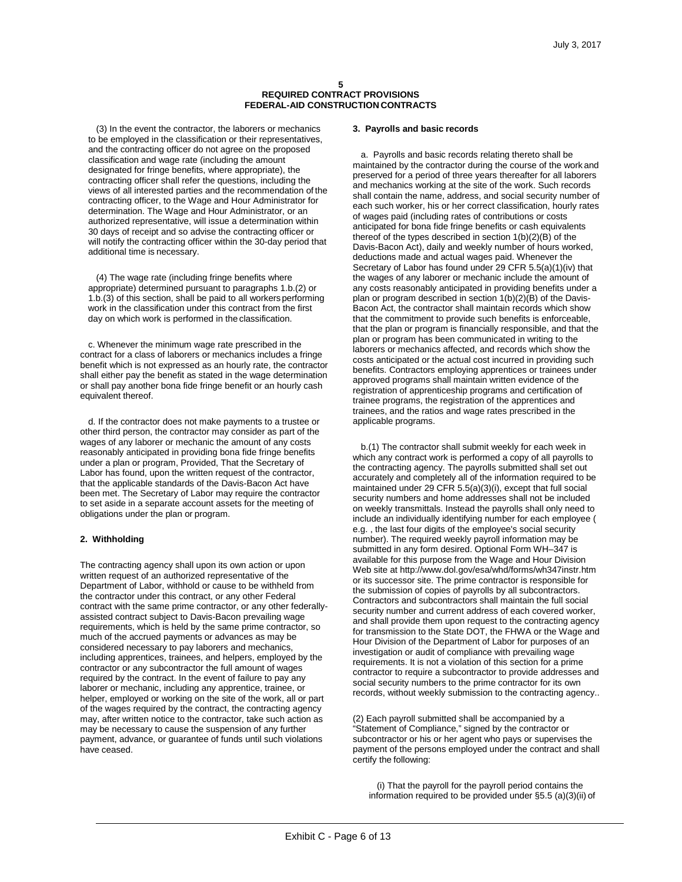(3) In the event the contractor, the laborers or mechanics to be employed in the classification or their representatives, and the contracting officer do not agree on the proposed classification and wage rate (including the amount designated for fringe benefits, where appropriate), the contracting officer shall refer the questions, including the views of all interested parties and the recommendation of the contracting officer, to the Wage and Hour Administrator for determination. The Wage and Hour Administrator, or an authorized representative, will issue a determination within 30 days of receipt and so advise the contracting officer or will notify the contracting officer within the 30-day period that additional time is necessary.

(4) The wage rate (including fringe benefits where appropriate) determined pursuant to paragraphs 1.b.(2) or 1.b.(3) of this section, shall be paid to all workers performing work in the classification under this contract from the first day on which work is performed in the classification.

c. Whenever the minimum wage rate prescribed in the contract for a class of laborers or mechanics includes a fringe benefit which is not expressed as an hourly rate, the contractor shall either pay the benefit as stated in the wage determination or shall pay another bona fide fringe benefit or an hourly cash equivalent thereof.

d. If the contractor does not make payments to a trustee or other third person, the contractor may consider as part of the wages of any laborer or mechanic the amount of any costs reasonably anticipated in providing bona fide fringe benefits under a plan or program, Provided, That the Secretary of Labor has found, upon the written request of the contractor, that the applicable standards of the Davis-Bacon Act have been met. The Secretary of Labor may require the contractor to set aside in a separate account assets for the meeting of obligations under the plan or program.

# **2. Withholding**

The contracting agency shall upon its own action or upon written request of an authorized representative of the Department of Labor, withhold or cause to be withheld from the contractor under this contract, or any other Federal contract with the same prime contractor, or any other federallyassisted contract subject to Davis-Bacon prevailing wage requirements, which is held by the same prime contractor, so much of the accrued payments or advances as may be considered necessary to pay laborers and mechanics, including apprentices, trainees, and helpers, employed by the contractor or any subcontractor the full amount of wages required by the contract. In the event of failure to pay any laborer or mechanic, including any apprentice, trainee, or helper, employed or working on the site of the work, all or part of the wages required by the contract, the contracting agency may, after written notice to the contractor, take such action as may be necessary to cause the suspension of any further payment, advance, or guarantee of funds until such violations have ceased.

## **3. Payrolls and basic records**

a. Payrolls and basic records relating thereto shall be maintained by the contractor during the course of the work and preserved for a period of three years thereafter for all laborers and mechanics working at the site of the work. Such records shall contain the name, address, and social security number of each such worker, his or her correct classification, hourly rates of wages paid (including rates of contributions or costs anticipated for bona fide fringe benefits or cash equivalents thereof of the types described in section 1(b)(2)(B) of the Davis-Bacon Act), daily and weekly number of hours worked, deductions made and actual wages paid. Whenever the Secretary of Labor has found under 29 CFR 5.5(a)(1)(iv) that the wages of any laborer or mechanic include the amount of any costs reasonably anticipated in providing benefits under a plan or program described in section 1(b)(2)(B) of the Davis-Bacon Act, the contractor shall maintain records which show that the commitment to provide such benefits is enforceable, that the plan or program is financially responsible, and that the plan or program has been communicated in writing to the laborers or mechanics affected, and records which show the costs anticipated or the actual cost incurred in providing such benefits. Contractors employing apprentices or trainees under approved programs shall maintain written evidence of the registration of apprenticeship programs and certification of trainee programs, the registration of the apprentices and trainees, and the ratios and wage rates prescribed in the applicable programs.

b.(1) The contractor shall submit weekly for each week in which any contract work is performed a copy of all payrolls to the contracting agency. The payrolls submitted shall set out accurately and completely all of the information required to be maintained under 29 CFR 5.5(a)(3)(i), except that full social security numbers and home addresses shall not be included on weekly transmittals. Instead the payrolls shall only need to include an individually identifying number for each employee ( e.g. , the last four digits of the employee's social security number). The required weekly payroll information may be submitted in any form desired. Optional Form WH–347 is available for this purpose from the Wage and Hour Division Web site at<http://www.dol.gov/esa/whd/forms/wh347instr.htm> or its successor site. The prime contractor is responsible for the submission of copies of payrolls by all subcontractors. Contractors and subcontractors shall maintain the full social security number and current address of each covered worker, and shall provide them upon request to the contracting agency for transmission to the State DOT, the FHWA or the Wage and Hour Division of the Department of Labor for purposes of an investigation or audit of compliance with prevailing wage requirements. It is not a violation of this section for a prime contractor to require a subcontractor to provide addresses and social security numbers to the prime contractor for its own records, without weekly submission to the contracting agency..

(2) Each payroll submitted shall be accompanied by a "Statement of Compliance," signed by the contractor or subcontractor or his or her agent who pays or supervises the payment of the persons employed under the contract and shall certify the following:

(i) That the payroll for the payroll period contains the information required to be provided under §5.5 (a)(3)(ii) of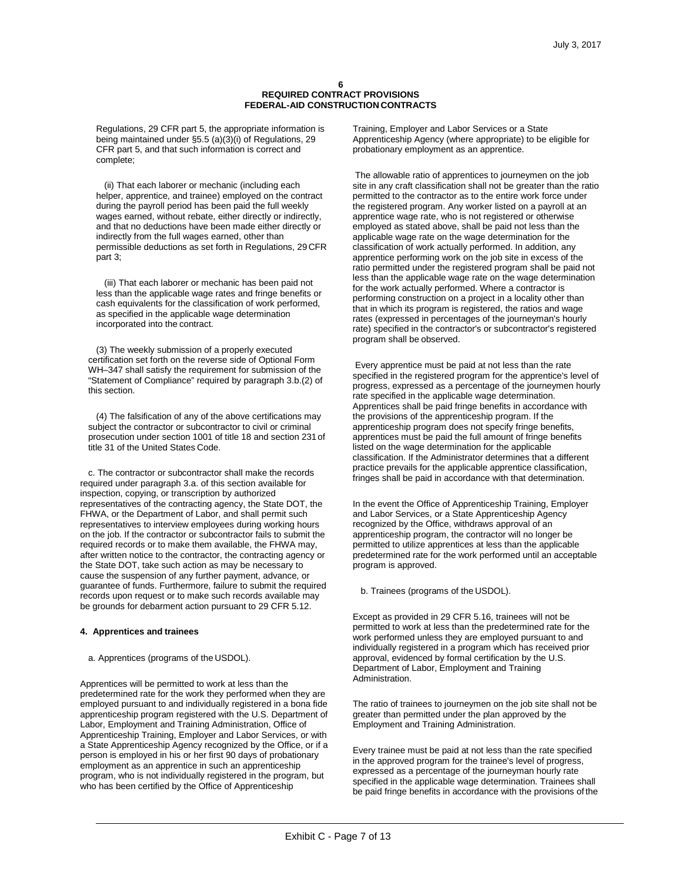Regulations, 29 CFR part 5, the appropriate information is being maintained under §5.5 (a)(3)(i) of Regulations, 29 CFR part 5, and that such information is correct and complete;

(ii) That each laborer or mechanic (including each helper, apprentice, and trainee) employed on the contract during the payroll period has been paid the full weekly wages earned, without rebate, either directly or indirectly, and that no deductions have been made either directly or indirectly from the full wages earned, other than permissible deductions as set forth in Regulations, 29 CFR part 3;

(iii) That each laborer or mechanic has been paid not less than the applicable wage rates and fringe benefits or cash equivalents for the classification of work performed, as specified in the applicable wage determination incorporated into the contract.

(3) The weekly submission of a properly executed certification set forth on the reverse side of Optional Form WH–347 shall satisfy the requirement for submission of the "Statement of Compliance" required by paragraph 3.b.(2) of this section.

(4) The falsification of any of the above certifications may subject the contractor or subcontractor to civil or criminal prosecution under section 1001 of title 18 and section 231of title 31 of the United States Code.

c. The contractor or subcontractor shall make the records required under paragraph 3.a. of this section available for inspection, copying, or transcription by authorized representatives of the contracting agency, the State DOT, the FHWA, or the Department of Labor, and shall permit such representatives to interview employees during working hours on the job. If the contractor or subcontractor fails to submit the required records or to make them available, the FHWA may, after written notice to the contractor, the contracting agency or the State DOT, take such action as may be necessary to cause the suspension of any further payment, advance, or guarantee of funds. Furthermore, failure to submit the required records upon request or to make such records available may be grounds for debarment action pursuant to 29 CFR 5.12.

## **4. Apprentices and trainees**

a. Apprentices (programs of the USDOL).

Apprentices will be permitted to work at less than the predetermined rate for the work they performed when they are employed pursuant to and individually registered in a bona fide apprenticeship program registered with the U.S. Department of Labor, Employment and Training Administration, Office of Apprenticeship Training, Employer and Labor Services, or with a State Apprenticeship Agency recognized by the Office, or if a person is employed in his or her first 90 days of probationary employment as an apprentice in such an apprenticeship program, who is not individually registered in the program, but who has been certified by the Office of Apprenticeship

Training, Employer and Labor Services or a State Apprenticeship Agency (where appropriate) to be eligible for probationary employment as an apprentice.

The allowable ratio of apprentices to journeymen on the job site in any craft classification shall not be greater than the ratio permitted to the contractor as to the entire work force under the registered program. Any worker listed on a payroll at an apprentice wage rate, who is not registered or otherwise employed as stated above, shall be paid not less than the applicable wage rate on the wage determination for the classification of work actually performed. In addition, any apprentice performing work on the job site in excess of the ratio permitted under the registered program shall be paid not less than the applicable wage rate on the wage determination for the work actually performed. Where a contractor is performing construction on a project in a locality other than that in which its program is registered, the ratios and wage rates (expressed in percentages of the journeyman's hourly rate) specified in the contractor's or subcontractor's registered program shall be observed.

Every apprentice must be paid at not less than the rate specified in the registered program for the apprentice's level of progress, expressed as a percentage of the journeymen hourly rate specified in the applicable wage determination. Apprentices shall be paid fringe benefits in accordance with the provisions of the apprenticeship program. If the apprenticeship program does not specify fringe benefits, apprentices must be paid the full amount of fringe benefits listed on the wage determination for the applicable classification. If the Administrator determines that a different practice prevails for the applicable apprentice classification, fringes shall be paid in accordance with that determination.

In the event the Office of Apprenticeship Training, Employer and Labor Services, or a State Apprenticeship Agency recognized by the Office, withdraws approval of an apprenticeship program, the contractor will no longer be permitted to utilize apprentices at less than the applicable predetermined rate for the work performed until an acceptable program is approved.

b. Trainees (programs of the USDOL).

Except as provided in 29 CFR 5.16, trainees will not be permitted to work at less than the predetermined rate for the work performed unless they are employed pursuant to and individually registered in a program which has received prior approval, evidenced by formal certification by the U.S. Department of Labor, Employment and Training Administration.

The ratio of trainees to journeymen on the job site shall not be greater than permitted under the plan approved by the Employment and Training Administration.

Every trainee must be paid at not less than the rate specified in the approved program for the trainee's level of progress, expressed as a percentage of the journeyman hourly rate specified in the applicable wage determination. Trainees shall be paid fringe benefits in accordance with the provisions of the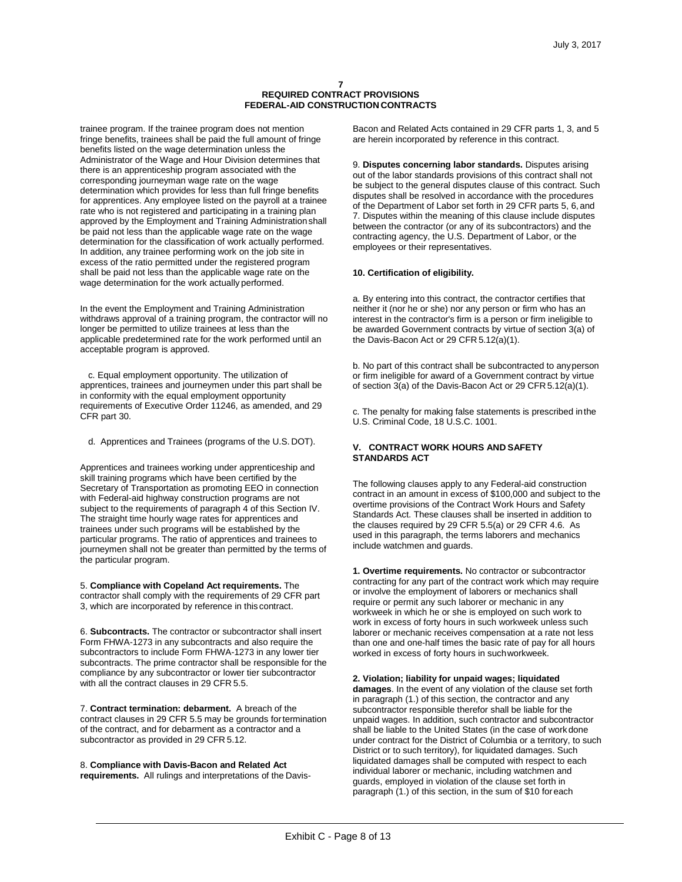trainee program. If the trainee program does not mention fringe benefits, trainees shall be paid the full amount of fringe benefits listed on the wage determination unless the Administrator of the Wage and Hour Division determines that there is an apprenticeship program associated with the corresponding journeyman wage rate on the wage determination which provides for less than full fringe benefits for apprentices. Any employee listed on the payroll at a trainee rate who is not registered and participating in a training plan approved by the Employment and Training Administrationshall be paid not less than the applicable wage rate on the wage determination for the classification of work actually performed. In addition, any trainee performing work on the job site in excess of the ratio permitted under the registered program shall be paid not less than the applicable wage rate on the wage determination for the work actually performed.

In the event the Employment and Training Administration withdraws approval of a training program, the contractor will no longer be permitted to utilize trainees at less than the applicable predetermined rate for the work performed until an acceptable program is approved.

c. Equal employment opportunity. The utilization of apprentices, trainees and journeymen under this part shall be in conformity with the equal employment opportunity requirements of Executive Order 11246, as amended, and 29 CFR part 30.

d. Apprentices and Trainees (programs of the U.S. DOT).

Apprentices and trainees working under apprenticeship and skill training programs which have been certified by the Secretary of Transportation as promoting EEO in connection with Federal-aid highway construction programs are not subject to the requirements of paragraph 4 of this Section IV. The straight time hourly wage rates for apprentices and trainees under such programs will be established by the particular programs. The ratio of apprentices and trainees to journeymen shall not be greater than permitted by the terms of the particular program.

5. **Compliance with Copeland Act requirements.** The contractor shall comply with the requirements of 29 CFR part 3, which are incorporated by reference in this contract.

6. **Subcontracts.** The contractor or subcontractor shall insert Form FHWA-1273 in any subcontracts and also require the subcontractors to include Form FHWA-1273 in any lower tier subcontracts. The prime contractor shall be responsible for the compliance by any subcontractor or lower tier subcontractor with all the contract clauses in 29 CFR 5.5.

7. **Contract termination: debarment.** A breach of the contract clauses in 29 CFR 5.5 may be grounds fortermination of the contract, and for debarment as a contractor and a subcontractor as provided in 29 CFR 5.12.

8. **Compliance with Davis-Bacon and Related Act requirements.** All rulings and interpretations of the DavisBacon and Related Acts contained in 29 CFR parts 1, 3, and 5 are herein incorporated by reference in this contract.

9. **Disputes concerning labor standards.** Disputes arising out of the labor standards provisions of this contract shall not be subject to the general disputes clause of this contract. Such disputes shall be resolved in accordance with the procedures of the Department of Labor set forth in 29 CFR parts 5, 6, and 7. Disputes within the meaning of this clause include disputes between the contractor (or any of its subcontractors) and the contracting agency, the U.S. Department of Labor, or the employees or their representatives.

# **10. Certification of eligibility.**

a. By entering into this contract, the contractor certifies that neither it (nor he or she) nor any person or firm who has an interest in the contractor's firm is a person or firm ineligible to be awarded Government contracts by virtue of section 3(a) of the Davis-Bacon Act or 29 CFR 5.12(a)(1).

b. No part of this contract shall be subcontracted to anyperson or firm ineligible for award of a Government contract by virtue of section 3(a) of the Davis-Bacon Act or 29 CFR5.12(a)(1).

c. The penalty for making false statements is prescribed inthe U.S. Criminal Code, 18 U.S.C. 1001.

# **V. CONTRACT WORK HOURS AND SAFETY STANDARDS ACT**

The following clauses apply to any Federal-aid construction contract in an amount in excess of \$100,000 and subject to the overtime provisions of the Contract Work Hours and Safety Standards Act. These clauses shall be inserted in addition to the clauses required by 29 CFR 5.5(a) or 29 CFR 4.6. As used in this paragraph, the terms laborers and mechanics include watchmen and guards.

**1. Overtime requirements.** No contractor or subcontractor contracting for any part of the contract work which may require or involve the employment of laborers or mechanics shall require or permit any such laborer or mechanic in any workweek in which he or she is employed on such work to work in excess of forty hours in such workweek unless such laborer or mechanic receives compensation at a rate not less than one and one-half times the basic rate of pay for all hours worked in excess of forty hours in suchworkweek.

# **2. Violation; liability for unpaid wages; liquidated**

**damages**. In the event of any violation of the clause set forth in paragraph (1.) of this section, the contractor and any subcontractor responsible therefor shall be liable for the unpaid wages. In addition, such contractor and subcontractor shall be liable to the United States (in the case of work done under contract for the District of Columbia or a territory, to such District or to such territory), for liquidated damages. Such liquidated damages shall be computed with respect to each individual laborer or mechanic, including watchmen and guards, employed in violation of the clause set forth in paragraph (1.) of this section, in the sum of \$10 foreach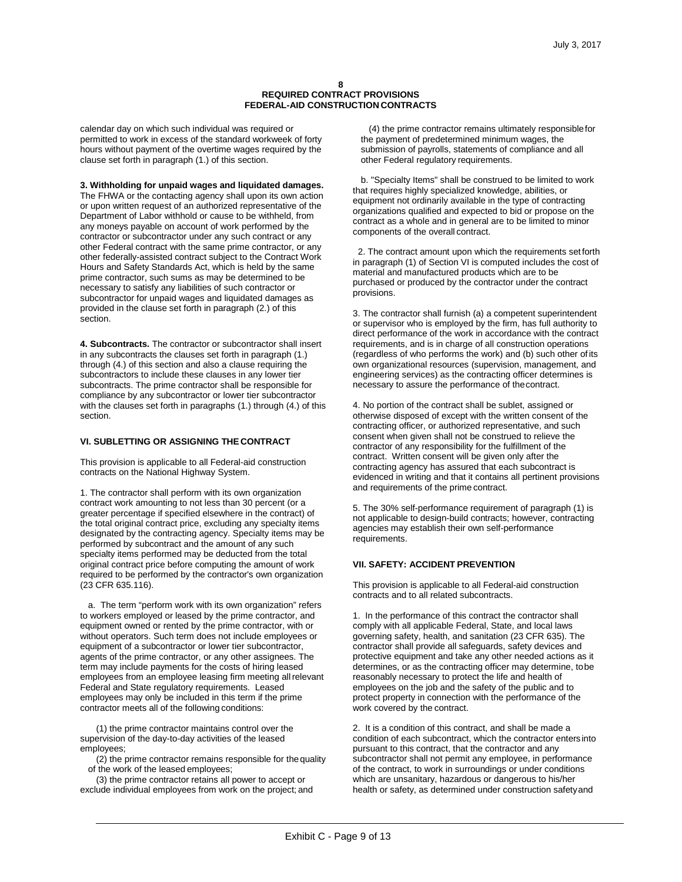calendar day on which such individual was required or permitted to work in excess of the standard workweek of forty hours without payment of the overtime wages required by the clause set forth in paragraph (1.) of this section.

**3. Withholding for unpaid wages and liquidated damages.**  The FHWA or the contacting agency shall upon its own action or upon written request of an authorized representative of the Department of Labor withhold or cause to be withheld, from any moneys payable on account of work performed by the contractor or subcontractor under any such contract or any other Federal contract with the same prime contractor, or any other federally-assisted contract subject to the Contract Work Hours and Safety Standards Act, which is held by the same prime contractor, such sums as may be determined to be necessary to satisfy any liabilities of such contractor or subcontractor for unpaid wages and liquidated damages as provided in the clause set forth in paragraph (2.) of this section.

**4. Subcontracts.** The contractor or subcontractor shall insert in any subcontracts the clauses set forth in paragraph (1.) through (4.) of this section and also a clause requiring the subcontractors to include these clauses in any lower tier subcontracts. The prime contractor shall be responsible for compliance by any subcontractor or lower tier subcontractor with the clauses set forth in paragraphs (1.) through (4.) of this section.

# **VI. SUBLETTING OR ASSIGNING THE CONTRACT**

This provision is applicable to all Federal-aid construction contracts on the National Highway System.

1. The contractor shall perform with its own organization contract work amounting to not less than 30 percent (or a greater percentage if specified elsewhere in the contract) of the total original contract price, excluding any specialty items designated by the contracting agency. Specialty items may be performed by subcontract and the amount of any such specialty items performed may be deducted from the total original contract price before computing the amount of work required to be performed by the contractor's own organization (23 CFR 635.116).

a. The term "perform work with its own organization" refers to workers employed or leased by the prime contractor, and equipment owned or rented by the prime contractor, with or without operators. Such term does not include employees or equipment of a subcontractor or lower tier subcontractor, agents of the prime contractor, or any other assignees. The term may include payments for the costs of hiring leased employees from an employee leasing firm meeting allrelevant Federal and State regulatory requirements. Leased employees may only be included in this term if the prime contractor meets all of the following conditions:

(1) the prime contractor maintains control over the supervision of the day-to-day activities of the leased employees;

(2) the prime contractor remains responsible for thequality of the work of the leased employees;

(3) the prime contractor retains all power to accept or exclude individual employees from work on the project; and

(4) the prime contractor remains ultimately responsiblefor the payment of predetermined minimum wages, the submission of payrolls, statements of compliance and all other Federal regulatory requirements.

b. "Specialty Items" shall be construed to be limited to work that requires highly specialized knowledge, abilities, or equipment not ordinarily available in the type of contracting organizations qualified and expected to bid or propose on the contract as a whole and in general are to be limited to minor components of the overall contract.

2. The contract amount upon which the requirements set forth in paragraph (1) of Section VI is computed includes the cost of material and manufactured products which are to be purchased or produced by the contractor under the contract provisions.

3. The contractor shall furnish (a) a competent superintendent or supervisor who is employed by the firm, has full authority to direct performance of the work in accordance with the contract requirements, and is in charge of all construction operations (regardless of who performs the work) and (b) such other of its own organizational resources (supervision, management, and engineering services) as the contracting officer determines is necessary to assure the performance of thecontract.

4. No portion of the contract shall be sublet, assigned or otherwise disposed of except with the written consent of the contracting officer, or authorized representative, and such consent when given shall not be construed to relieve the contractor of any responsibility for the fulfillment of the contract. Written consent will be given only after the contracting agency has assured that each subcontract is evidenced in writing and that it contains all pertinent provisions and requirements of the prime contract.

5. The 30% self-performance requirement of paragraph (1) is not applicable to design-build contracts; however, contracting agencies may establish their own self-performance requirements.

# **VII. SAFETY: ACCIDENT PREVENTION**

This provision is applicable to all Federal-aid construction contracts and to all related subcontracts.

1. In the performance of this contract the contractor shall comply with all applicable Federal, State, and local laws governing safety, health, and sanitation (23 CFR 635). The contractor shall provide all safeguards, safety devices and protective equipment and take any other needed actions as it determines, or as the contracting officer may determine, tobe reasonably necessary to protect the life and health of employees on the job and the safety of the public and to protect property in connection with the performance of the work covered by the contract.

2. It is a condition of this contract, and shall be made a condition of each subcontract, which the contractor entersinto pursuant to this contract, that the contractor and any subcontractor shall not permit any employee, in performance of the contract, to work in surroundings or under conditions which are unsanitary, hazardous or dangerous to his/her health or safety, as determined under construction safetyand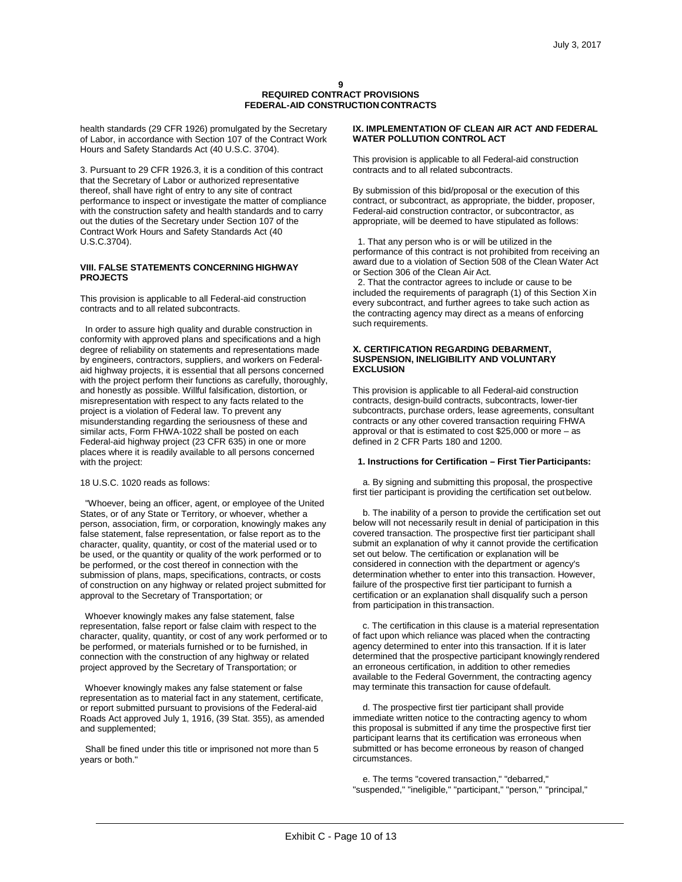health standards (29 CFR 1926) promulgated by the Secretary of Labor, in accordance with Section 107 of the Contract Work Hours and Safety Standards Act (40 U.S.C. 3704).

3. Pursuant to 29 CFR 1926.3, it is a condition of this contract that the Secretary of Labor or authorized representative thereof, shall have right of entry to any site of contract performance to inspect or investigate the matter of compliance with the construction safety and health standards and to carry out the duties of the Secretary under Section 107 of the Contract Work Hours and Safety Standards Act (40 U.S.C.3704).

## **VIII. FALSE STATEMENTS CONCERNING HIGHWAY PROJECTS**

This provision is applicable to all Federal-aid construction contracts and to all related subcontracts.

In order to assure high quality and durable construction in conformity with approved plans and specifications and a high degree of reliability on statements and representations made by engineers, contractors, suppliers, and workers on Federalaid highway projects, it is essential that all persons concerned with the project perform their functions as carefully, thoroughly, and honestly as possible. Willful falsification, distortion, or misrepresentation with respect to any facts related to the project is a violation of Federal law. To prevent any misunderstanding regarding the seriousness of these and similar acts, Form FHWA-1022 shall be posted on each Federal-aid highway project (23 CFR 635) in one or more places where it is readily available to all persons concerned with the project:

# 18 U.S.C. 1020 reads as follows:

"Whoever, being an officer, agent, or employee of the United States, or of any State or Territory, or whoever, whether a person, association, firm, or corporation, knowingly makes any false statement, false representation, or false report as to the character, quality, quantity, or cost of the material used or to be used, or the quantity or quality of the work performed or to be performed, or the cost thereof in connection with the submission of plans, maps, specifications, contracts, or costs of construction on any highway or related project submitted for approval to the Secretary of Transportation; or

Whoever knowingly makes any false statement, false representation, false report or false claim with respect to the character, quality, quantity, or cost of any work performed or to be performed, or materials furnished or to be furnished, in connection with the construction of any highway or related project approved by the Secretary of Transportation; or

Whoever knowingly makes any false statement or false representation as to material fact in any statement, certificate, or report submitted pursuant to provisions of the Federal-aid Roads Act approved July 1, 1916, (39 Stat. 355), as amended and supplemented;

Shall be fined under this title or imprisoned not more than 5 years or both."

# **IX. IMPLEMENTATION OF CLEAN AIR ACT AND FEDERAL WATER POLLUTION CONTROL ACT**

This provision is applicable to all Federal-aid construction contracts and to all related subcontracts.

By submission of this bid/proposal or the execution of this contract, or subcontract, as appropriate, the bidder, proposer, Federal-aid construction contractor, or subcontractor, as appropriate, will be deemed to have stipulated as follows:

1. That any person who is or will be utilized in the performance of this contract is not prohibited from receiving an award due to a violation of Section 508 of the Clean Water Act or Section 306 of the Clean Air Act.

2. That the contractor agrees to include or cause to be included the requirements of paragraph (1) of this Section Xin every subcontract, and further agrees to take such action as the contracting agency may direct as a means of enforcing such requirements.

## **X. CERTIFICATION REGARDING DEBARMENT, SUSPENSION, INELIGIBILITY AND VOLUNTARY EXCLUSION**

This provision is applicable to all Federal-aid construction contracts, design-build contracts, subcontracts, lower-tier subcontracts, purchase orders, lease agreements, consultant contracts or any other covered transaction requiring FHWA approval or that is estimated to cost \$25,000 or more – as defined in 2 CFR Parts 180 and 1200.

## **1. Instructions for Certification – First TierParticipants:**

a. By signing and submitting this proposal, the prospective first tier participant is providing the certification set outbelow.

b. The inability of a person to provide the certification set out below will not necessarily result in denial of participation in this covered transaction. The prospective first tier participant shall submit an explanation of why it cannot provide the certification set out below. The certification or explanation will be considered in connection with the department or agency's determination whether to enter into this transaction. However, failure of the prospective first tier participant to furnish a certification or an explanation shall disqualify such a person from participation in this transaction.

c. The certification in this clause is a material representation of fact upon which reliance was placed when the contracting agency determined to enter into this transaction. If it is later determined that the prospective participant knowingly rendered an erroneous certification, in addition to other remedies available to the Federal Government, the contracting agency may terminate this transaction for cause of default.

d. The prospective first tier participant shall provide immediate written notice to the contracting agency to whom this proposal is submitted if any time the prospective first tier participant learns that its certification was erroneous when submitted or has become erroneous by reason of changed circumstances.

e. The terms "covered transaction," "debarred," "suspended," "ineligible," "participant," "person," "principal,"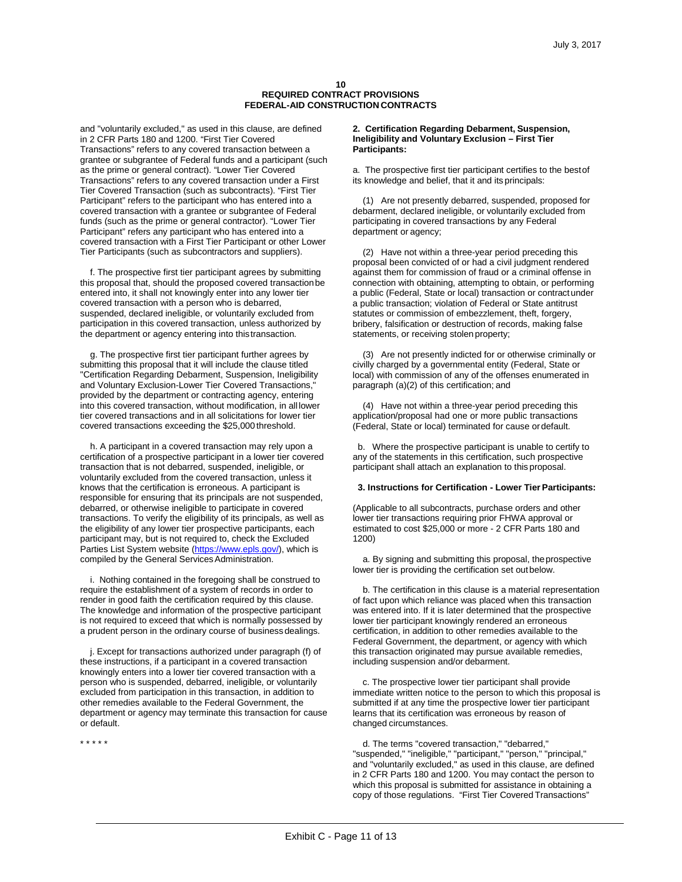and "voluntarily excluded," as used in this clause, are defined in 2 CFR Parts 180 and 1200. "First Tier Covered Transactions" refers to any covered transaction between a grantee or subgrantee of Federal funds and a participant (such as the prime or general contract). "Lower Tier Covered Transactions" refers to any covered transaction under a First Tier Covered Transaction (such as subcontracts). "First Tier Participant" refers to the participant who has entered into a covered transaction with a grantee or subgrantee of Federal funds (such as the prime or general contractor). "Lower Tier Participant" refers any participant who has entered into a covered transaction with a First Tier Participant or other Lower Tier Participants (such as subcontractors and suppliers).

f. The prospective first tier participant agrees by submitting this proposal that, should the proposed covered transactionbe entered into, it shall not knowingly enter into any lower tier covered transaction with a person who is debarred, suspended, declared ineligible, or voluntarily excluded from participation in this covered transaction, unless authorized by the department or agency entering into thistransaction.

g. The prospective first tier participant further agrees by submitting this proposal that it will include the clause titled "Certification Regarding Debarment, Suspension, Ineligibility and Voluntary Exclusion-Lower Tier Covered Transactions," provided by the department or contracting agency, entering into this covered transaction, without modification, in all lower tier covered transactions and in all solicitations for lower tier covered transactions exceeding the \$25,000 threshold.

h. A participant in a covered transaction may rely upon a certification of a prospective participant in a lower tier covered transaction that is not debarred, suspended, ineligible, or voluntarily excluded from the covered transaction, unless it knows that the certification is erroneous. A participant is responsible for ensuring that its principals are not suspended, debarred, or otherwise ineligible to participate in covered transactions. To verify the eligibility of its principals, as well as the eligibility of any lower tier prospective participants, each participant may, but is not required to, check the Excluded Parties List System website [\(https://www.epls.gov/\),](https://www.epls.gov/) which is compiled by the General ServicesAdministration.

i. Nothing contained in the foregoing shall be construed to require the establishment of a system of records in order to render in good faith the certification required by this clause. The knowledge and information of the prospective participant is not required to exceed that which is normally possessed by a prudent person in the ordinary course of business dealings.

j. Except for transactions authorized under paragraph (f) of these instructions, if a participant in a covered transaction knowingly enters into a lower tier covered transaction with a person who is suspended, debarred, ineligible, or voluntarily excluded from participation in this transaction, in addition to other remedies available to the Federal Government, the department or agency may terminate this transaction for cause or default.

\* \* \* \* \*

#### **2. Certification Regarding Debarment, Suspension, Ineligibility and Voluntary Exclusion – First Tier Participants:**

a. The prospective first tier participant certifies to the bestof its knowledge and belief, that it and its principals:

(1) Are not presently debarred, suspended, proposed for debarment, declared ineligible, or voluntarily excluded from participating in covered transactions by any Federal department or agency;

(2) Have not within a three-year period preceding this proposal been convicted of or had a civil judgment rendered against them for commission of fraud or a criminal offense in connection with obtaining, attempting to obtain, or performing a public (Federal, State or local) transaction or contractunder a public transaction; violation of Federal or State antitrust statutes or commission of embezzlement, theft, forgery, bribery, falsification or destruction of records, making false statements, or receiving stolen property;

(3) Are not presently indicted for or otherwise criminally or civilly charged by a governmental entity (Federal, State or local) with commission of any of the offenses enumerated in paragraph (a)(2) of this certification; and

(4) Have not within a three-year period preceding this application/proposal had one or more public transactions (Federal, State or local) terminated for cause ordefault.

b. Where the prospective participant is unable to certify to any of the statements in this certification, such prospective participant shall attach an explanation to this proposal.

#### **3. Instructions for Certification - Lower TierParticipants:**

(Applicable to all subcontracts, purchase orders and other lower tier transactions requiring prior FHWA approval or estimated to cost \$25,000 or more - 2 CFR Parts 180 and 1200)

a. By signing and submitting this proposal, theprospective lower tier is providing the certification set out below.

b. The certification in this clause is a material representation of fact upon which reliance was placed when this transaction was entered into. If it is later determined that the prospective lower tier participant knowingly rendered an erroneous certification, in addition to other remedies available to the Federal Government, the department, or agency with which this transaction originated may pursue available remedies, including suspension and/or debarment.

c. The prospective lower tier participant shall provide immediate written notice to the person to which this proposal is submitted if at any time the prospective lower tier participant learns that its certification was erroneous by reason of changed circumstances.

d. The terms "covered transaction," "debarred," "suspended," "ineligible," "participant," "person," "principal," and "voluntarily excluded," as used in this clause, are defined in 2 CFR Parts 180 and 1200. You may contact the person to which this proposal is submitted for assistance in obtaining a copy of those regulations. "First Tier Covered Transactions"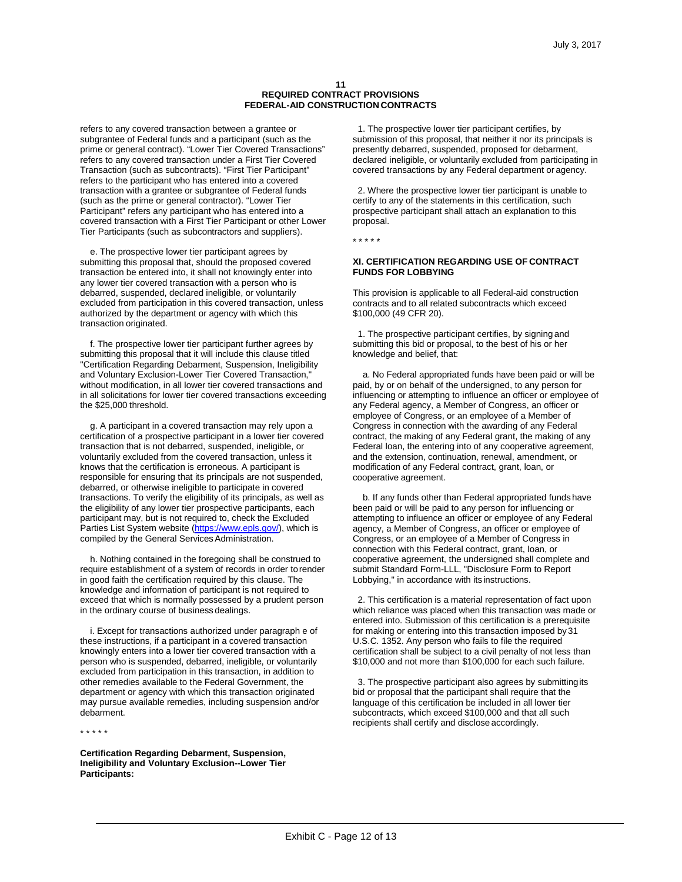refers to any covered transaction between a grantee or subgrantee of Federal funds and a participant (such as the prime or general contract). "Lower Tier Covered Transactions" refers to any covered transaction under a First Tier Covered Transaction (such as subcontracts). "First Tier Participant" refers to the participant who has entered into a covered transaction with a grantee or subgrantee of Federal funds (such as the prime or general contractor). "Lower Tier Participant" refers any participant who has entered into a covered transaction with a First Tier Participant or other Lower Tier Participants (such as subcontractors and suppliers).

e. The prospective lower tier participant agrees by submitting this proposal that, should the proposed covered transaction be entered into, it shall not knowingly enter into any lower tier covered transaction with a person who is debarred, suspended, declared ineligible, or voluntarily excluded from participation in this covered transaction, unless authorized by the department or agency with which this transaction originated.

f. The prospective lower tier participant further agrees by submitting this proposal that it will include this clause titled "Certification Regarding Debarment, Suspension, Ineligibility and Voluntary Exclusion-Lower Tier Covered Transaction," without modification, in all lower tier covered transactions and in all solicitations for lower tier covered transactions exceeding the \$25,000 threshold.

g. A participant in a covered transaction may rely upon a certification of a prospective participant in a lower tier covered transaction that is not debarred, suspended, ineligible, or voluntarily excluded from the covered transaction, unless it knows that the certification is erroneous. A participant is responsible for ensuring that its principals are not suspended, debarred, or otherwise ineligible to participate in covered transactions. To verify the eligibility of its principals, as well as the eligibility of any lower tier prospective participants, each participant may, but is not required to, check the Excluded Parties List System website [\(https://www.epls.gov/\),](https://www.epls.gov/) which is compiled by the General ServicesAdministration.

h. Nothing contained in the foregoing shall be construed to require establishment of a system of records in order torender in good faith the certification required by this clause. The knowledge and information of participant is not required to exceed that which is normally possessed by a prudent person in the ordinary course of business dealings.

i. Except for transactions authorized under paragraph e of these instructions, if a participant in a covered transaction knowingly enters into a lower tier covered transaction with a person who is suspended, debarred, ineligible, or voluntarily excluded from participation in this transaction, in addition to other remedies available to the Federal Government, the department or agency with which this transaction originated may pursue available remedies, including suspension and/or debarment.

\* \* \* \* \*

**Certification Regarding Debarment, Suspension, Ineligibility and Voluntary Exclusion--Lower Tier Participants:**

1. The prospective lower tier participant certifies, by submission of this proposal, that neither it nor its principals is presently debarred, suspended, proposed for debarment, declared ineligible, or voluntarily excluded from participating in covered transactions by any Federal department or agency.

2. Where the prospective lower tier participant is unable to certify to any of the statements in this certification, such prospective participant shall attach an explanation to this proposal.

\* \* \* \* \*

## **XI. CERTIFICATION REGARDING USE OF CONTRACT FUNDS FOR LOBBYING**

This provision is applicable to all Federal-aid construction contracts and to all related subcontracts which exceed \$100,000 (49 CFR 20).

1. The prospective participant certifies, by signing and submitting this bid or proposal, to the best of his or her knowledge and belief, that:

a. No Federal appropriated funds have been paid or will be paid, by or on behalf of the undersigned, to any person for influencing or attempting to influence an officer or employee of any Federal agency, a Member of Congress, an officer or employee of Congress, or an employee of a Member of Congress in connection with the awarding of any Federal contract, the making of any Federal grant, the making of any Federal loan, the entering into of any cooperative agreement, and the extension, continuation, renewal, amendment, or modification of any Federal contract, grant, loan, or cooperative agreement.

b. If any funds other than Federal appropriated funds have been paid or will be paid to any person for influencing or attempting to influence an officer or employee of any Federal agency, a Member of Congress, an officer or employee of Congress, or an employee of a Member of Congress in connection with this Federal contract, grant, loan, or cooperative agreement, the undersigned shall complete and submit Standard Form-LLL, "Disclosure Form to Report Lobbying," in accordance with its instructions.

2. This certification is a material representation of fact upon which reliance was placed when this transaction was made or entered into. Submission of this certification is a prerequisite for making or entering into this transaction imposed by 31 U.S.C. 1352. Any person who fails to file the required certification shall be subject to a civil penalty of not less than \$10,000 and not more than \$100,000 for each such failure.

3. The prospective participant also agrees by submittingits bid or proposal that the participant shall require that the language of this certification be included in all lower tier subcontracts, which exceed \$100,000 and that all such recipients shall certify and disclose accordingly.